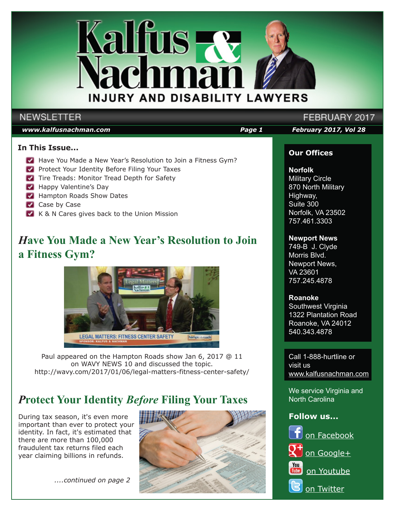

### **NEWSLETTER**

#### *www.kalfusnachman.com Page 1 February 2017, Vol 28*

#### **In This Issue...**

- Have You Made a New Year's Resolution to Join a Fitness Gym?
- **Protect Your Identity Before Filing Your Taxes**
- Tire Treads: Monitor Tread Depth for Safety
- **Happy Valentine's Day**
- Hampton Roads Show Dates
- Case by Case
- K & N Cares gives back to the Union Mission

## *H***ave You Made a New Year's Resolution to Join a Fitness Gym?**



Paul appeared on the Hampton Roads show Jan 6, 2017 @ 11 on WAVY NEWS 10 and discussed the topic. http://wavy.com/2017/01/06/legal-matters-fitness-center-safety/

## *P***rotect Your Identity** *Before* **Filing Your Taxes**

During tax season, it's even more important than ever to protect your identity. In fact, it's estimated that there are more than 100,000 fraudulent tax returns filed each year claiming billions in refunds.

 *....continued on page 2*



## FEBRUARY 2017

#### **Our Offices**

#### **Norfolk**

Military Circle 870 North Military Highway, Suite 300 Norfolk, VA 23502 757.461.3303

#### **Newport News**

749-B J. Clyde Morris Blvd. Newport News, VA 23601 757.245.4878

#### **Roanoke**

Southwest Virginia 1322 Plantation Road Roanoke, VA 24012 540.343.4878

Call 1-888-hurtline or visit us www.kalfusnachman.com

We service Virginia and North Carolina

#### **Follow us...**

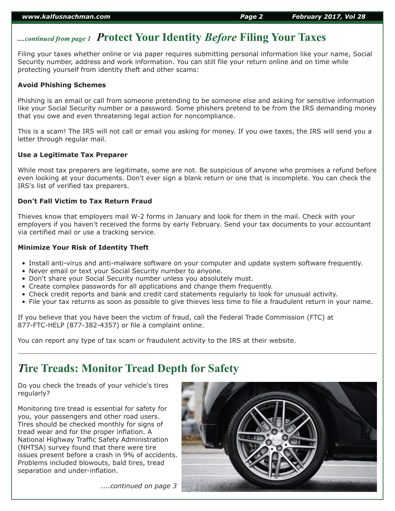## *....continued from page 1 P***rotect Your Identity** *Before* **Filing Your Taxes**

Filing your taxes whether online or via paper requires submitting personal information like your name, Social Security number, address and work information. You can still file your return online and on time while protecting yourself from identity theft and other scams:

#### **Avoid Phishing Schemes**

Phishing is an email or call from someone pretending to be someone else and asking for sensitive information like your Social Security number or a password. Some phishers pretend to be from the IRS demanding money that you owe and even threatening legal action for noncompliance.

This is a scam! The IRS will not call or email you asking for money. If you owe taxes, the IRS will send you a letter through regular mail.

#### **Use a Legitimate Tax Preparer**

While most tax preparers are legitimate, some are not. Be suspicious of anyone who promises a refund before even looking at your documents. Don't ever sign a blank return or one that is incomplete. You can check the IRS's list of verified tax preparers.

#### **Don't Fall Victim to Tax Return Fraud**

Thieves know that employers mail W-2 forms in January and look for them in the mail. Check with your employers if you haven't received the forms by early February. Send your tax documents to your accountant via certified mail or use a tracking service.

#### **Minimize Your Risk of Identity Theft**

- Install anti-virus and anti-malware software on your computer and update system software frequently.
- Never email or text your Social Security number to anyone.
- Don't share your Social Security number unless you absolutely must.
- Create complex passwords for all applications and change them frequently.
- Check credit reports and bank and credit card statements regularly to look for unusual activity.
- File your tax returns as soon as possible to give thieves less time to file a fraudulent return in your name.

If you believe that you have been the victim of fraud, call the Federal Trade Commission (FTC) at 877-FTC-HELP (877-382-4357) or file a complaint online.

You can report any type of tax scam or fraudulent activity to the IRS at their website.

## *T***ire Treads: Monitor Tread Depth for Safety**

Do you check the treads of your vehicle's tires regularly?

Monitoring tire tread is essential for safety for you, your passengers and other road users. Tires should be checked monthly for signs of tread wear and for the proper inflation. A National Highway Traffic Safety Administration (NHTSA) survey found that there were tire issues present before a crash in 9% of accidents. Problems included blowouts, bald tires, tread separation and under-inflation.



 *....continued on page 3*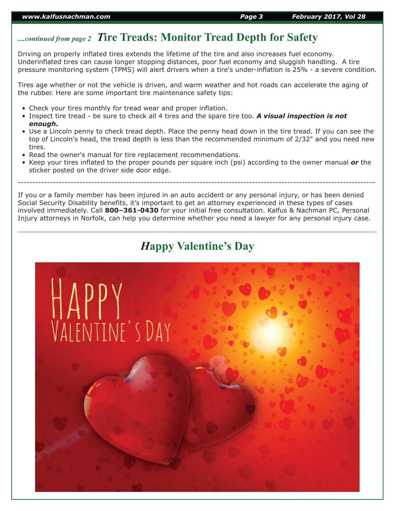## *....continued from page 2 T***ire Treads: Monitor Tread Depth for Safety**

Driving on properly inflated tires extends the lifetime of the tire and also increases fuel economy. Underinflated tires can cause longer stopping distances, poor fuel economy and sluggish handling. A tire pressure monitoring system (TPMS) will alert drivers when a tire's under-inflation is 25% - a severe condition.

Tires age whether or not the vehicle is driven, and warm weather and hot roads can accelerate the aging of the rubber. Here are some important tire maintenance safety tips:

- Check your tires monthly for tread wear and proper inflation.
- Inspect tire tread be sure to check all 4 tires and the spare tire too. *A visual inspection is not enough.*
- Use a Lincoln penny to check tread depth. Place the penny head down in the tire tread. If you can see the top of Lincoln's head, the tread depth is less than the recommended minimum of 2/32" and you need new tires.
- Read the owner's manual for tire replacement recommendations.
- Keep your tires inflated to the proper pounds per square inch (psi) according to the owner manual *or* the sticker posted on the driver side door edge.

--------------------------------------------------------------------------------------------------------------------------

If you or a family member has been injured in an auto accident or any personal injury, or has been denied Social Security Disability benefits, it's important to get an attorney experienced in these types of cases involved immediately. Call **800–361-0430** for your initial free consultation. Kalfus & Nachman PC, Personal Injury attorneys in Norfolk, can help you determine whether you need a lawyer for any personal injury case.